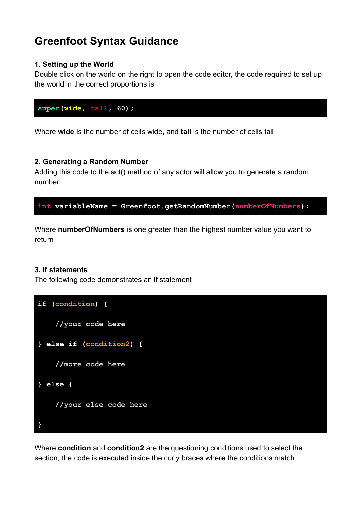# **Greenfoot Syntax Guidance**

# **1. Setting up the World**

Double click on the world on the right to open the code editor, the code required to set up the world in the correct proportions is



Where **wide** is the number of cells wide, and **tall** is the number of cells tall

# **2. Generating a Random Number**

Adding this code to the act() method of any actor will allow you to generate a random number

```
int variableName = Greenfoot.getRandomNumber(numberOfNumbers);
```
Where **numberOfNumbers** is one greater than the highest number value you want to return

## **3. If statements**

The following code demonstrates an if statement

```
if (condition) {
    //your code here
} else if (condition2) {
    //more code here
} else {
    //your else code here
}
```
Where **condition** and **condition2** are the questioning conditions used to select the section, the code is executed inside the curly braces where the conditions match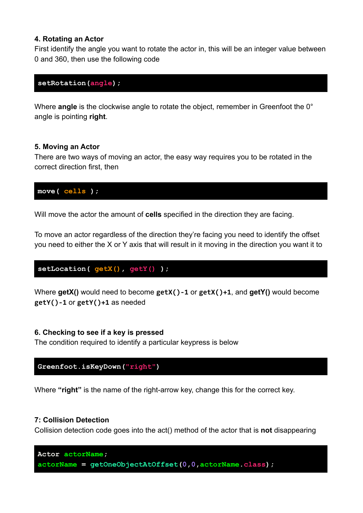### **4. Rotating an Actor**

First identify the angle you want to rotate the actor in, this will be an integer value between 0 and 360, then use the following code

#### **setRotation(angle);**

Where **angle** is the clockwise angle to rotate the object, remember in Greenfoot the 0° angle is pointing **right**.

### **5. Moving an Actor**

There are two ways of moving an actor, the easy way requires you to be rotated in the correct direction first, then

**move( cells );**

Will move the actor the amount of **cells** specified in the direction they are facing.

To move an actor regardless of the direction they're facing you need to identify the offset you need to either the X or Y axis that will result in it moving in the direction you want it to

**setLocation( getX(), getY() );**

Where **getX()** would need to become **getX()-1** or **getX()+1**, and **getY()** would become **getY()-1** or **getY()+1** as needed

#### **6. Checking to see if a key is pressed**

The condition required to identify a particular keypress is below

**Greenfoot.isKeyDown("right")**

Where **"right"** is the name of the right-arrow key, change this for the correct key.

#### **7: Collision Detection**

Collision detection code goes into the act() method of the actor that is **not** disappearing

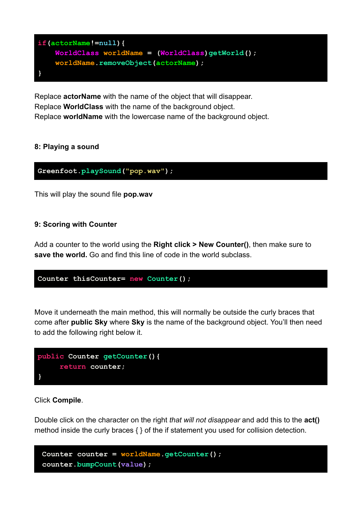

Replace **actorName** with the name of the object that will disappear. Replace **WorldClass** with the name of the background object. Replace **worldName** with the lowercase name of the background object.

# **8: Playing a sound**

**Greenfoot.playSound("pop.wav");**

This will play the sound file **pop.wav**

## **9: Scoring with Counter**

Add a counter to the world using the **Right click > New Counter()**, then make sure to **save the world.** Go and find this line of code in the world subclass.

```
Counter thisCounter= new Counter();
```
Move it underneath the main method, this will normally be outside the curly braces that come after **public Sky** where **Sky** is the name of the background object. You'll then need to add the following right below it.



## Click **Compile**.

Double click on the character on the right *that will not disappear* and add this to the **act()** method inside the curly braces { } of the if statement you used for collision detection.